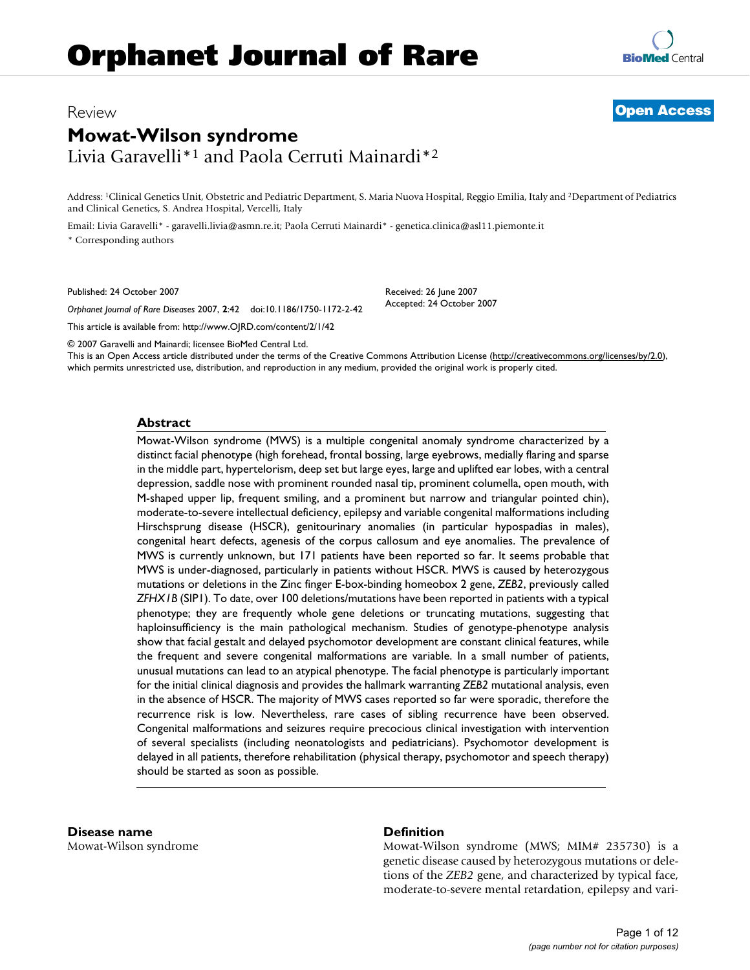# Review **[Open Access](http://www.biomedcentral.com/info/about/charter/)**

# **Mowat-Wilson syndrome** Livia Garavelli\*1 and Paola Cerruti Mainardi\*2

Address: 1Clinical Genetics Unit, Obstetric and Pediatric Department, S. Maria Nuova Hospital, Reggio Emilia, Italy and 2Department of Pediatrics and Clinical Genetics, S. Andrea Hospital, Vercelli, Italy

> Received: 26 June 2007 Accepted: 24 October 2007

Email: Livia Garavelli\* - garavelli.livia@asmn.re.it; Paola Cerruti Mainardi\* - genetica.clinica@asl11.piemonte.it \* Corresponding authors

Published: 24 October 2007

*Orphanet Journal of Rare Diseases* 2007, **2**:42 doi:10.1186/1750-1172-2-42

[This article is available from: http://www.OJRD.com/content/2/1/42](http://www.OJRD.com/content/2/1/42)

© 2007 Garavelli and Mainardi; licensee BioMed Central Ltd.

This is an Open Access article distributed under the terms of the Creative Commons Attribution License [\(http://creativecommons.org/licenses/by/2.0\)](http://creativecommons.org/licenses/by/2.0), which permits unrestricted use, distribution, and reproduction in any medium, provided the original work is properly cited.

#### **Abstract**

Mowat-Wilson syndrome (MWS) is a multiple congenital anomaly syndrome characterized by a distinct facial phenotype (high forehead, frontal bossing, large eyebrows, medially flaring and sparse in the middle part, hypertelorism, deep set but large eyes, large and uplifted ear lobes, with a central depression, saddle nose with prominent rounded nasal tip, prominent columella, open mouth, with M-shaped upper lip, frequent smiling, and a prominent but narrow and triangular pointed chin), moderate-to-severe intellectual deficiency, epilepsy and variable congenital malformations including Hirschsprung disease (HSCR), genitourinary anomalies (in particular hypospadias in males), congenital heart defects, agenesis of the corpus callosum and eye anomalies. The prevalence of MWS is currently unknown, but 171 patients have been reported so far. It seems probable that MWS is under-diagnosed, particularly in patients without HSCR. MWS is caused by heterozygous mutations or deletions in the Zinc finger E-box-binding homeobox 2 gene, *ZEB2*, previously called *ZFHX1B* (SIP1). To date, over 100 deletions/mutations have been reported in patients with a typical phenotype; they are frequently whole gene deletions or truncating mutations, suggesting that haploinsufficiency is the main pathological mechanism. Studies of genotype-phenotype analysis show that facial gestalt and delayed psychomotor development are constant clinical features, while the frequent and severe congenital malformations are variable. In a small number of patients, unusual mutations can lead to an atypical phenotype. The facial phenotype is particularly important for the initial clinical diagnosis and provides the hallmark warranting *ZEB2* mutational analysis, even in the absence of HSCR. The majority of MWS cases reported so far were sporadic, therefore the recurrence risk is low. Nevertheless, rare cases of sibling recurrence have been observed. Congenital malformations and seizures require precocious clinical investigation with intervention of several specialists (including neonatologists and pediatricians). Psychomotor development is delayed in all patients, therefore rehabilitation (physical therapy, psychomotor and speech therapy) should be started as soon as possible.

**Disease name** Mowat-Wilson syndrome

# **Definition**

Mowat-Wilson syndrome (MWS; MIM# 235730) is a genetic disease caused by heterozygous mutations or deletions of the *ZEB2* gene, and characterized by typical face, moderate-to-severe mental retardation, epilepsy and vari-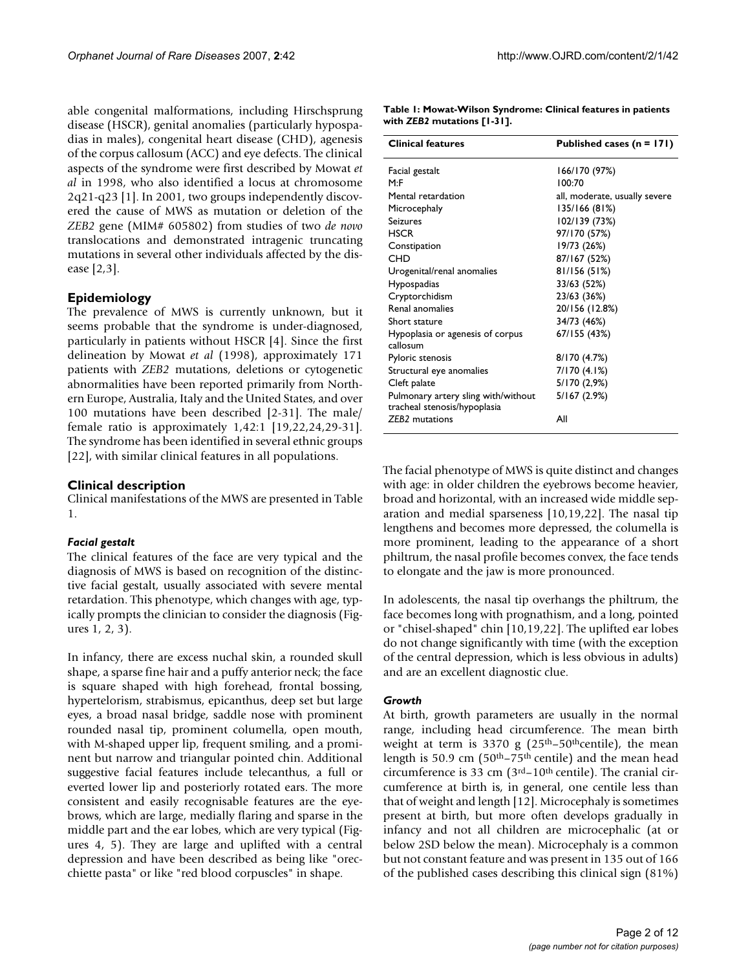able congenital malformations, including Hirschsprung disease (HSCR), genital anomalies (particularly hypospadias in males), congenital heart disease (CHD), agenesis of the corpus callosum (ACC) and eye defects. The clinical aspects of the syndrome were first described by Mowat *et al* in 1998, who also identified a locus at chromosome 2q21-q23 [1]. In 2001, two groups independently discovered the cause of MWS as mutation or deletion of the *ZEB2* gene (MIM# 605802) from studies of two *de novo* translocations and demonstrated intragenic truncating mutations in several other individuals affected by the disease [2,3].

#### **Epidemiology**

The prevalence of MWS is currently unknown, but it seems probable that the syndrome is under-diagnosed, particularly in patients without HSCR [4]. Since the first delineation by Mowat *et al* (1998), approximately 171 patients with *ZEB2* mutations, deletions or cytogenetic abnormalities have been reported primarily from Northern Europe, Australia, Italy and the United States, and over 100 mutations have been described [2-31]. The male/ female ratio is approximately 1,42:1 [19,22,24,29-31]. The syndrome has been identified in several ethnic groups [22], with similar clinical features in all populations.

#### **Clinical description**

Clinical manifestations of the MWS are presented in Table 1.

#### *Facial gestalt*

The clinical features of the face are very typical and the diagnosis of MWS is based on recognition of the distinctive facial gestalt, usually associated with severe mental retardation. This phenotype, which changes with age, typically prompts the clinician to consider the diagnosis (Figures 1, 2, 3).

In infancy, there are excess nuchal skin, a rounded skull shape, a sparse fine hair and a puffy anterior neck; the face is square shaped with high forehead, frontal bossing, hypertelorism, strabismus, epicanthus, deep set but large eyes, a broad nasal bridge, saddle nose with prominent rounded nasal tip, prominent columella, open mouth, with M-shaped upper lip, frequent smiling, and a prominent but narrow and triangular pointed chin. Additional suggestive facial features include telecanthus, a full or everted lower lip and posteriorly rotated ears. The more consistent and easily recognisable features are the eyebrows, which are large, medially flaring and sparse in the middle part and the ear lobes, which are very typical (Figures 4, 5). They are large and uplifted with a central depression and have been described as being like "orecchiette pasta" or like "red blood corpuscles" in shape.

| <b>Clinical features</b>                                            | Published cases $(n = 171)$   |
|---------------------------------------------------------------------|-------------------------------|
| Facial gestalt                                                      | 166/170 (97%)                 |
| M: F                                                                | 100:70                        |
| Mental retardation                                                  | all, moderate, usually severe |
| Microcephaly                                                        | 135/166 (81%)                 |
| Seizures                                                            | 102/139 (73%)                 |
| <b>HSCR</b>                                                         | 97/170 (57%)                  |
| Constipation                                                        | 19/73 (26%)                   |
| CHD                                                                 | 87/167 (52%)                  |
| Urogenital/renal anomalies                                          | 81/156 (51%)                  |
| Hypospadias                                                         | 33/63 (52%)                   |
| Cryptorchidism                                                      | 23/63 (36%)                   |
| Renal anomalies                                                     | 20/156 (12.8%)                |
| Short stature                                                       | 34/73 (46%)                   |
| Hypoplasia or agenesis of corpus                                    | 67/155 (43%)                  |
| callosum                                                            |                               |
| Pyloric stenosis                                                    | 8/170 (4.7%)                  |
| Structural eye anomalies                                            | 7/170 (4.1%)                  |
| Cleft palate                                                        | 5/170 (2,9%)                  |
| Pulmonary artery sling with/without<br>tracheal stenosis/hypoplasia | 5/167(2.9%)                   |
| <b>ZEB2</b> mutations                                               | All                           |

**Table 1: Mowat-Wilson Syndrome: Clinical features in patients with** *ZEB2* **mutations [1-31].**

The facial phenotype of MWS is quite distinct and changes with age: in older children the eyebrows become heavier, broad and horizontal, with an increased wide middle separation and medial sparseness [10,19,22]. The nasal tip lengthens and becomes more depressed, the columella is more prominent, leading to the appearance of a short philtrum, the nasal profile becomes convex, the face tends to elongate and the jaw is more pronounced.

In adolescents, the nasal tip overhangs the philtrum, the face becomes long with prognathism, and a long, pointed or "chisel-shaped" chin [10,19,22]. The uplifted ear lobes do not change significantly with time (with the exception of the central depression, which is less obvious in adults) and are an excellent diagnostic clue.

#### *Growth*

At birth, growth parameters are usually in the normal range, including head circumference. The mean birth weight at term is 3370 g  $(25<sup>th</sup>-50<sup>th</sup>$ centile), the mean length is 50.9 cm ( $50<sup>th</sup> - 75<sup>th</sup>$  centile) and the mean head circumference is 33 cm  $(3<sup>rd</sup> - 10<sup>th</sup>$  centile). The cranial circumference at birth is, in general, one centile less than that of weight and length [12]. Microcephaly is sometimes present at birth, but more often develops gradually in infancy and not all children are microcephalic (at or below 2SD below the mean). Microcephaly is a common but not constant feature and was present in 135 out of 166 of the published cases describing this clinical sign (81%)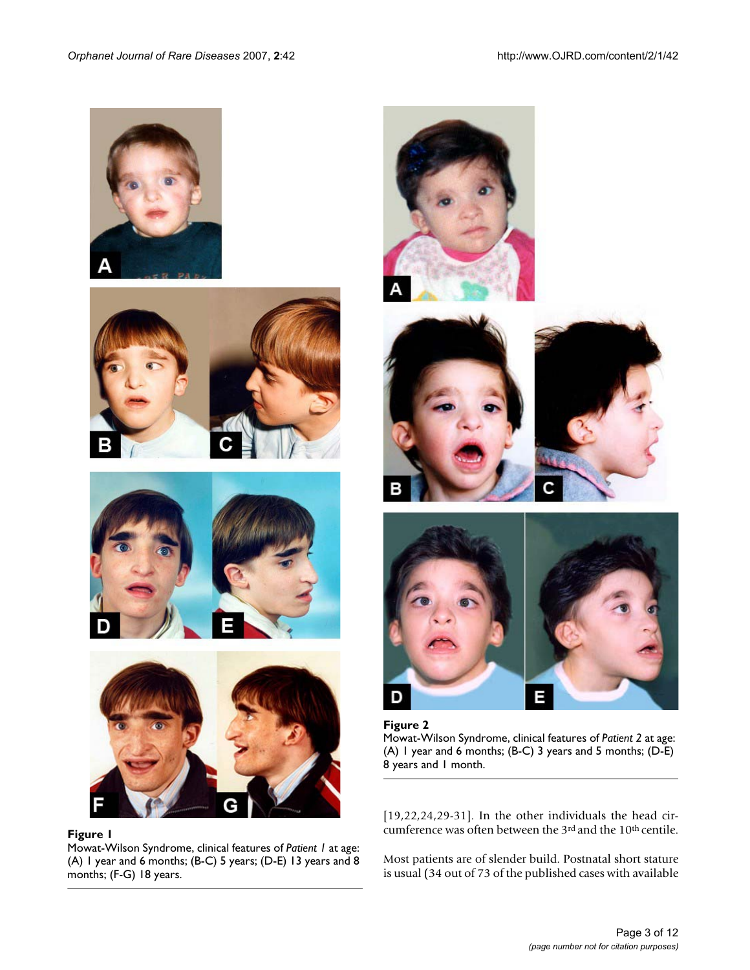







# Figure 1

Mowat-Wilson Syndrome, clinical features of *Patient 1* at age: (A) 1 year and 6 months; (B-C) 5 years; (D-E) 13 years and 8 months; (F-G) 18 years.



Ε Figure 2 Mowat-Wilson Syndrome, clinical features of *Patient 2* at age: (A) 1 year and 6 months; (B-C) 3 years and 5 months; (D-E) 8 years and 1 month.

D

[19,22,24,29-31]. In the other individuals the head circumference was often between the 3rd and the 10th centile.

Most patients are of slender build. Postnatal short stature is usual (34 out of 73 of the published cases with available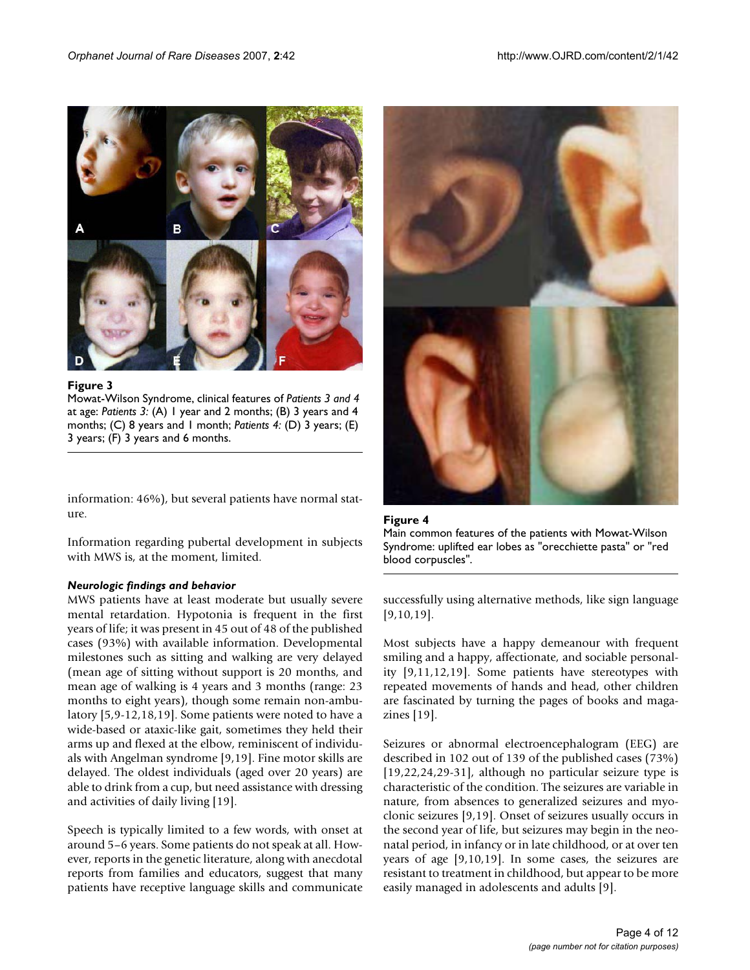

Figure 3

Mowat-Wilson Syndrome, clinical features of *Patients 3 and 4*  at age: *Patients 3:* (A) 1 year and 2 months; (B) 3 years and 4 months; (C) 8 years and 1 month; *Patients 4:* (D) 3 years; (E) 3 years; (F) 3 years and 6 months.

information: 46%), but several patients have normal stature.

Information regarding pubertal development in subjects with MWS is, at the moment, limited.

#### *Neurologic findings and behavior*

MWS patients have at least moderate but usually severe mental retardation. Hypotonia is frequent in the first years of life; it was present in 45 out of 48 of the published cases (93%) with available information. Developmental milestones such as sitting and walking are very delayed (mean age of sitting without support is 20 months, and mean age of walking is 4 years and 3 months (range: 23 months to eight years), though some remain non-ambulatory [5,9-12,18,19]. Some patients were noted to have a wide-based or ataxic-like gait, sometimes they held their arms up and flexed at the elbow, reminiscent of individuals with Angelman syndrome [9,19]. Fine motor skills are delayed. The oldest individuals (aged over 20 years) are able to drink from a cup, but need assistance with dressing and activities of daily living [19].

Speech is typically limited to a few words, with onset at around 5–6 years. Some patients do not speak at all. However, reports in the genetic literature, along with anecdotal reports from families and educators, suggest that many patients have receptive language skills and communicate



Figure 4 Main common features of the patients with Mowat-Wilson Syndrome: uplifted ear lobes as "orecchiette pasta" or "red blood corpuscles".

successfully using alternative methods, like sign language [9,10,19].

Most subjects have a happy demeanour with frequent smiling and a happy, affectionate, and sociable personality [9,11,12,19]. Some patients have stereotypes with repeated movements of hands and head, other children are fascinated by turning the pages of books and magazines [19].

Seizures or abnormal electroencephalogram (EEG) are described in 102 out of 139 of the published cases (73%) [19,22,24,29-31], although no particular seizure type is characteristic of the condition. The seizures are variable in nature, from absences to generalized seizures and myoclonic seizures [9,19]. Onset of seizures usually occurs in the second year of life, but seizures may begin in the neonatal period, in infancy or in late childhood, or at over ten years of age [9,10,19]. In some cases, the seizures are resistant to treatment in childhood, but appear to be more easily managed in adolescents and adults [9].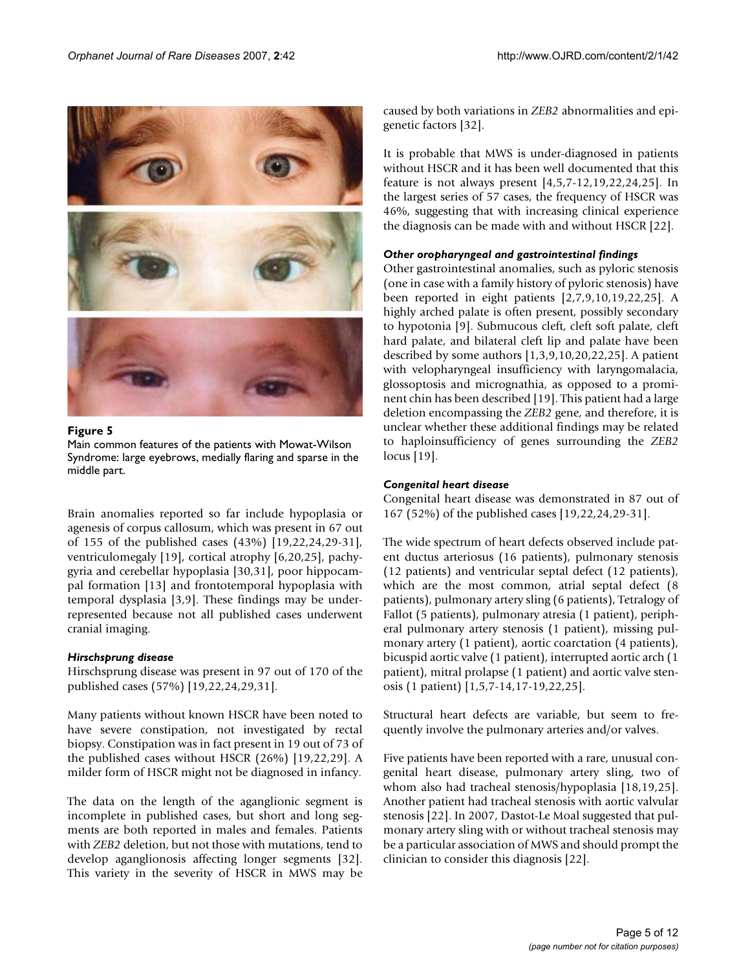

#### Figure 5 Main common features of the patients with Mowat-Wilson Syndrome: large eyebrows, medially flaring and sparse in the middle part.

Brain anomalies reported so far include hypoplasia or agenesis of corpus callosum, which was present in 67 out of 155 of the published cases (43%) [19,22,24,29-31], ventriculomegaly [19], cortical atrophy [6,20,25], pachygyria and cerebellar hypoplasia [30,31], poor hippocampal formation [13] and frontotemporal hypoplasia with temporal dysplasia [3,9]. These findings may be underrepresented because not all published cases underwent cranial imaging.

#### *Hirschsprung disease*

Hirschsprung disease was present in 97 out of 170 of the published cases (57%) [19,22,24,29,31].

Many patients without known HSCR have been noted to have severe constipation, not investigated by rectal biopsy. Constipation was in fact present in 19 out of 73 of the published cases without HSCR (26%) [19,22,29]. A milder form of HSCR might not be diagnosed in infancy.

The data on the length of the aganglionic segment is incomplete in published cases, but short and long segments are both reported in males and females. Patients with *ZEB2* deletion, but not those with mutations, tend to develop aganglionosis affecting longer segments [32]. This variety in the severity of HSCR in MWS may be caused by both variations in *ZEB2* abnormalities and epigenetic factors [32].

It is probable that MWS is under-diagnosed in patients without HSCR and it has been well documented that this feature is not always present [4,5,7-12,19,22,24,25]. In the largest series of 57 cases, the frequency of HSCR was 46%, suggesting that with increasing clinical experience the diagnosis can be made with and without HSCR [22].

#### *Other oropharyngeal and gastrointestinal findings*

Other gastrointestinal anomalies, such as pyloric stenosis (one in case with a family history of pyloric stenosis) have been reported in eight patients [2,7,9,10,19,22,25]. A highly arched palate is often present, possibly secondary to hypotonia [9]. Submucous cleft, cleft soft palate, cleft hard palate, and bilateral cleft lip and palate have been described by some authors [1,3,9,10,20,22,25]. A patient with velopharyngeal insufficiency with laryngomalacia, glossoptosis and micrognathia, as opposed to a prominent chin has been described [19]. This patient had a large deletion encompassing the *ZEB2* gene, and therefore, it is unclear whether these additional findings may be related to haploinsufficiency of genes surrounding the *ZEB2* locus [19].

#### *Congenital heart disease*

Congenital heart disease was demonstrated in 87 out of 167 (52%) of the published cases [19,22,24,29-31].

The wide spectrum of heart defects observed include patent ductus arteriosus (16 patients), pulmonary stenosis (12 patients) and ventricular septal defect (12 patients), which are the most common, atrial septal defect (8 patients), pulmonary artery sling (6 patients), Tetralogy of Fallot (5 patients), pulmonary atresia (1 patient), peripheral pulmonary artery stenosis (1 patient), missing pulmonary artery (1 patient), aortic coarctation (4 patients), bicuspid aortic valve (1 patient), interrupted aortic arch (1 patient), mitral prolapse (1 patient) and aortic valve stenosis (1 patient) [1,5,7-14,17-19,22,25].

Structural heart defects are variable, but seem to frequently involve the pulmonary arteries and/or valves.

Five patients have been reported with a rare, unusual congenital heart disease, pulmonary artery sling, two of whom also had tracheal stenosis/hypoplasia [18,19,25]. Another patient had tracheal stenosis with aortic valvular stenosis [22]. In 2007, Dastot-Le Moal suggested that pulmonary artery sling with or without tracheal stenosis may be a particular association of MWS and should prompt the clinician to consider this diagnosis [22].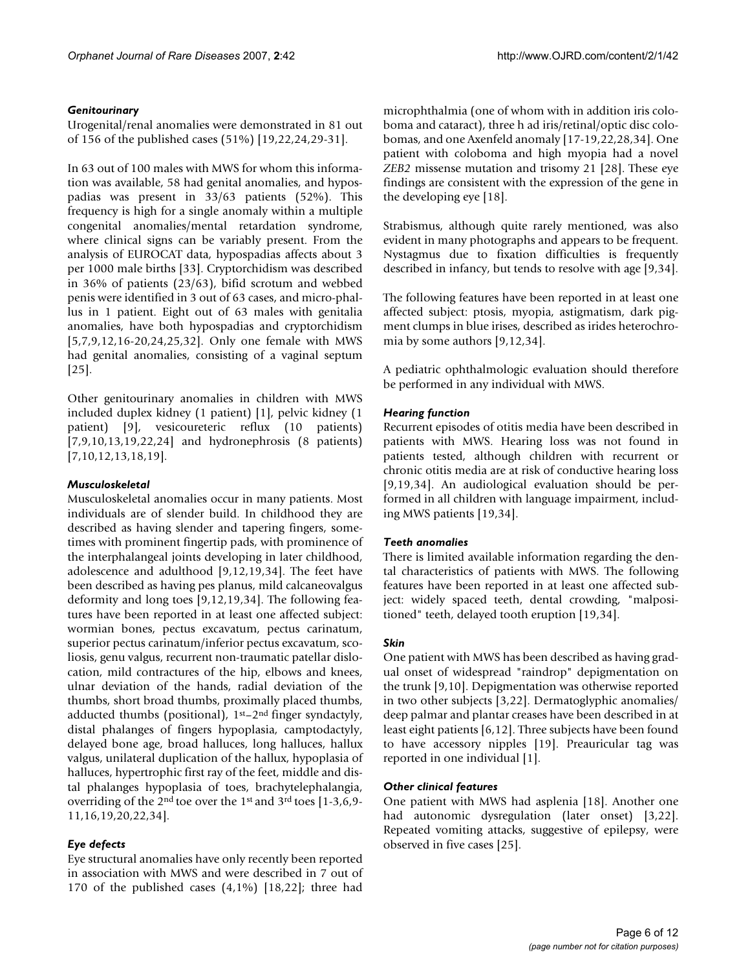# *Genitourinary*

Urogenital/renal anomalies were demonstrated in 81 out of 156 of the published cases (51%) [19,22,24,29-31].

In 63 out of 100 males with MWS for whom this information was available, 58 had genital anomalies, and hypospadias was present in 33/63 patients (52%). This frequency is high for a single anomaly within a multiple congenital anomalies/mental retardation syndrome, where clinical signs can be variably present. From the analysis of EUROCAT data, hypospadias affects about 3 per 1000 male births [33]. Cryptorchidism was described in 36% of patients (23/63), bifid scrotum and webbed penis were identified in 3 out of 63 cases, and micro-phallus in 1 patient. Eight out of 63 males with genitalia anomalies, have both hypospadias and cryptorchidism [5,7,9,12,16-20,24,25,32]. Only one female with MWS had genital anomalies, consisting of a vaginal septum [25].

Other genitourinary anomalies in children with MWS included duplex kidney (1 patient) [1], pelvic kidney (1 patient) [9], vesicoureteric reflux (10 patients) [7,9,10,13,19,22,24] and hydronephrosis (8 patients) [7,10,12,13,18,19].

# *Musculoskeletal*

Musculoskeletal anomalies occur in many patients. Most individuals are of slender build. In childhood they are described as having slender and tapering fingers, sometimes with prominent fingertip pads, with prominence of the interphalangeal joints developing in later childhood, adolescence and adulthood [9,12,19,34]. The feet have been described as having pes planus, mild calcaneovalgus deformity and long toes [9,12,19,34]. The following features have been reported in at least one affected subject: wormian bones, pectus excavatum, pectus carinatum, superior pectus carinatum/inferior pectus excavatum, scoliosis, genu valgus, recurrent non-traumatic patellar dislocation, mild contractures of the hip, elbows and knees, ulnar deviation of the hands, radial deviation of the thumbs, short broad thumbs, proximally placed thumbs, adducted thumbs (positional), 1st–2nd finger syndactyly, distal phalanges of fingers hypoplasia, camptodactyly, delayed bone age, broad halluces, long halluces, hallux valgus, unilateral duplication of the hallux, hypoplasia of halluces, hypertrophic first ray of the feet, middle and distal phalanges hypoplasia of toes, brachytelephalangia, overriding of the 2nd toe over the 1st and 3rd toes [1-3,6,9- 11,16,19,20,22,34].

# *Eye defects*

Eye structural anomalies have only recently been reported in association with MWS and were described in 7 out of 170 of the published cases  $(4,1\%)$  [18,22]; three had

microphthalmia (one of whom with in addition iris coloboma and cataract), three h ad iris/retinal/optic disc colobomas, and one Axenfeld anomaly [17-19,22,28,34]. One patient with coloboma and high myopia had a novel *ZEB2* missense mutation and trisomy 21 [28]. These eye findings are consistent with the expression of the gene in the developing eye [18].

Strabismus, although quite rarely mentioned, was also evident in many photographs and appears to be frequent. Nystagmus due to fixation difficulties is frequently described in infancy, but tends to resolve with age [9,34].

The following features have been reported in at least one affected subject: ptosis, myopia, astigmatism, dark pigment clumps in blue irises, described as irides heterochromia by some authors [9,12,34].

A pediatric ophthalmologic evaluation should therefore be performed in any individual with MWS.

# *Hearing function*

Recurrent episodes of otitis media have been described in patients with MWS. Hearing loss was not found in patients tested, although children with recurrent or chronic otitis media are at risk of conductive hearing loss [9,19,34]. An audiological evaluation should be performed in all children with language impairment, including MWS patients [19,34].

# *Teeth anomalies*

There is limited available information regarding the dental characteristics of patients with MWS. The following features have been reported in at least one affected subject: widely spaced teeth, dental crowding, "malpositioned" teeth, delayed tooth eruption [19,34].

# *Skin*

One patient with MWS has been described as having gradual onset of widespread "raindrop" depigmentation on the trunk [9,10]. Depigmentation was otherwise reported in two other subjects [3,22]. Dermatoglyphic anomalies/ deep palmar and plantar creases have been described in at least eight patients [6,12]. Three subjects have been found to have accessory nipples [19]. Preauricular tag was reported in one individual [1].

# *Other clinical features*

One patient with MWS had asplenia [18]. Another one had autonomic dysregulation (later onset) [3,22]. Repeated vomiting attacks, suggestive of epilepsy, were observed in five cases [25].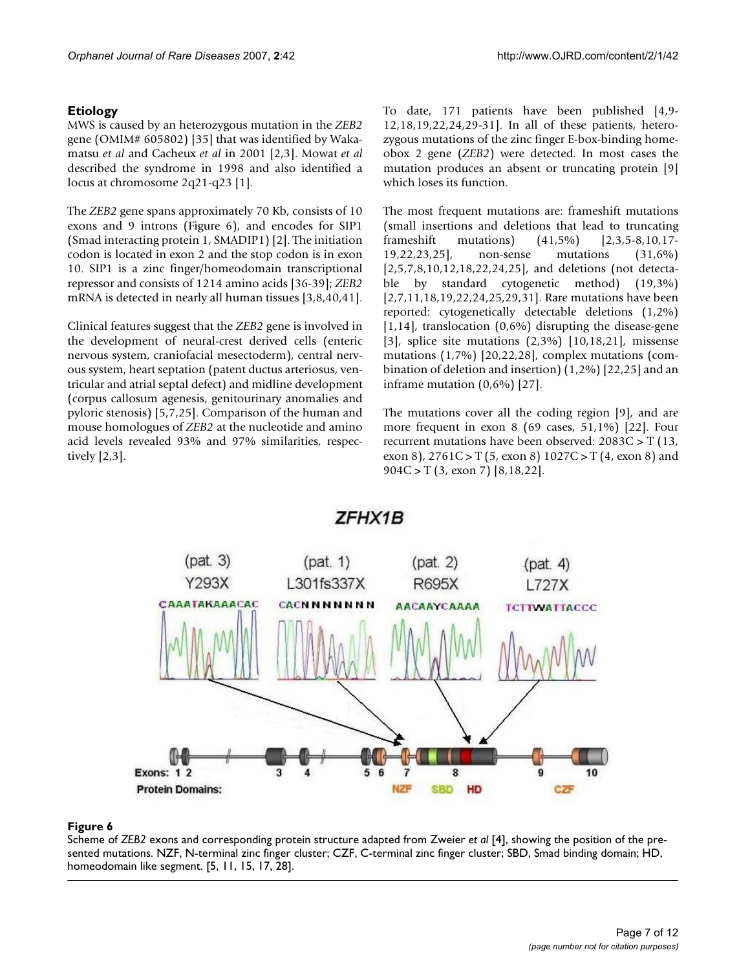# **Etiology**

MWS is caused by an heterozygous mutation in the *ZEB2* gene (OMIM# 605802) [35] that was identified by Wakamatsu *et al* and Cacheux *et al* in 2001 [2,3]. Mowat *et al* described the syndrome in 1998 and also identified a locus at chromosome 2q21-q23 [1].

The *ZEB2* gene spans approximately 70 Kb, consists of 10 exons and 9 introns (Figure 6), and encodes for SIP1 (Smad interacting protein 1, SMADIP1) [2]. The initiation codon is located in exon 2 and the stop codon is in exon 10. SIP1 is a zinc finger/homeodomain transcriptional repressor and consists of 1214 amino acids [36-39]; *ZEB2* mRNA is detected in nearly all human tissues [3,8,40,41].

Clinical features suggest that the *ZEB2* gene is involved in the development of neural-crest derived cells (enteric nervous system, craniofacial mesectoderm), central nervous system, heart septation (patent ductus arteriosus, ventricular and atrial septal defect) and midline development (corpus callosum agenesis, genitourinary anomalies and pyloric stenosis) [5,7,25]. Comparison of the human and mouse homologues of *ZEB2* at the nucleotide and amino acid levels revealed 93% and 97% similarities, respectively [2,3].

To date, 171 patients have been published [4,9- 12,18,19,22,24,29-31]. In all of these patients, heterozygous mutations of the zinc finger E-box-binding homeobox 2 gene (*ZEB2*) were detected. In most cases the mutation produces an absent or truncating protein [9] which loses its function.

The most frequent mutations are: frameshift mutations (small insertions and deletions that lead to truncating frameshift mutations) (41,5%) [2,3,5-8,10,17- 19,22,23,25], non-sense mutations (31,6%) [2,5,7,8,10,12,18,22,24,25], and deletions (not detectable by standard cytogenetic method) (19,3%) [2,7,11,18,19,22,24,25,29,31]. Rare mutations have been reported: cytogenetically detectable deletions (1,2%)  $[1,14]$ , translocation  $(0,6\%)$  disrupting the disease-gene [3], splice site mutations (2,3%) [10,18,21], missense mutations (1,7%) [20,22,28], complex mutations (combination of deletion and insertion) (1,2%) [22,25] and an inframe mutation (0,6%) [27].

The mutations cover all the coding region [9], and are more frequent in exon 8 (69 cases, 51,1%) [22]. Four recurrent mutations have been observed: 2083C > T (13, exon 8),  $2761C > T(5, exon 8) 1027C > T(4, exon 8)$  and 904C > T (3, exon 7) [8,18,22].



# ZFHX1B

# Scheme of sented mutations **Figure 6** *ZEB2* exons and corresponding protein structure adapted from Zweier *et al* [4], showing the position of the pre-

Scheme of *ZEB2* exons and corresponding protein structure adapted from Zweier *et al* [4], showing the position of the presented mutations. NZF, N-terminal zinc finger cluster; CZF, C-terminal zinc finger cluster; SBD, Smad binding domain; HD, homeodomain like segment. [5, 11, 15, 17, 28].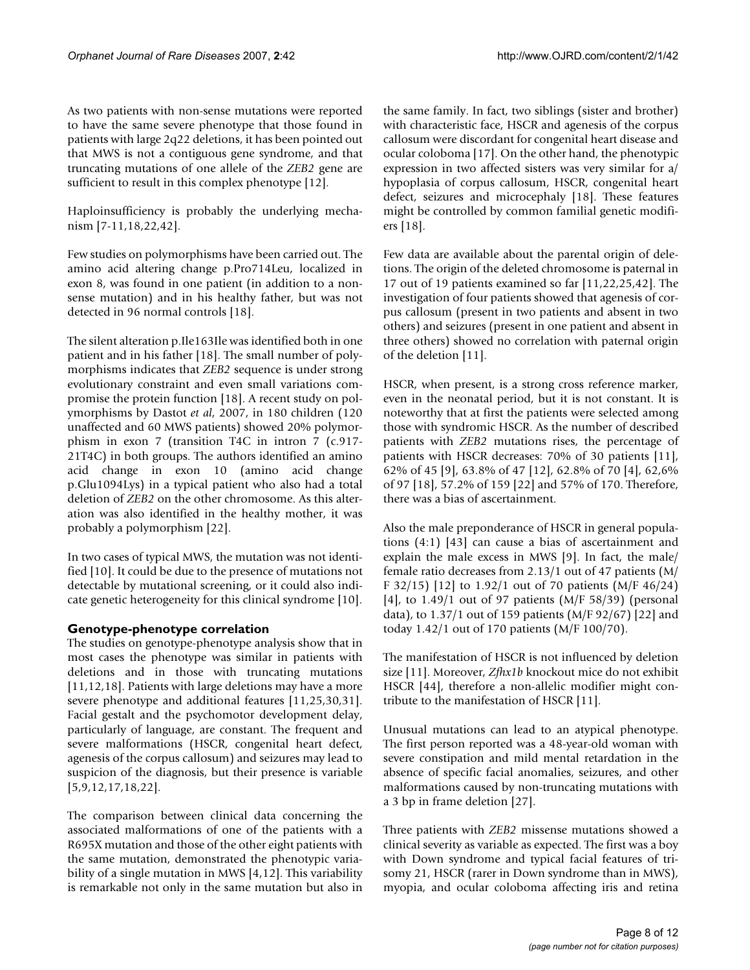As two patients with non-sense mutations were reported to have the same severe phenotype that those found in patients with large 2q22 deletions, it has been pointed out that MWS is not a contiguous gene syndrome, and that truncating mutations of one allele of the *ZEB2* gene are sufficient to result in this complex phenotype [12].

Haploinsufficiency is probably the underlying mechanism [7-11,18,22,42].

Few studies on polymorphisms have been carried out. The amino acid altering change p.Pro714Leu, localized in exon 8, was found in one patient (in addition to a nonsense mutation) and in his healthy father, but was not detected in 96 normal controls [18].

The silent alteration p.Ile163Ile was identified both in one patient and in his father [18]. The small number of polymorphisms indicates that *ZEB2* sequence is under strong evolutionary constraint and even small variations compromise the protein function [18]. A recent study on polymorphisms by Dastot *et al*, 2007, in 180 children (120 unaffected and 60 MWS patients) showed 20% polymorphism in exon 7 (transition T4C in intron 7 (c.917- 21T4C) in both groups. The authors identified an amino acid change in exon 10 (amino acid change p.Glu1094Lys) in a typical patient who also had a total deletion of *ZEB2* on the other chromosome. As this alteration was also identified in the healthy mother, it was probably a polymorphism [22].

In two cases of typical MWS, the mutation was not identified [10]. It could be due to the presence of mutations not detectable by mutational screening, or it could also indicate genetic heterogeneity for this clinical syndrome [10].

# **Genotype-phenotype correlation**

The studies on genotype-phenotype analysis show that in most cases the phenotype was similar in patients with deletions and in those with truncating mutations [11,12,18]. Patients with large deletions may have a more severe phenotype and additional features [11,25,30,31]. Facial gestalt and the psychomotor development delay, particularly of language, are constant. The frequent and severe malformations (HSCR, congenital heart defect, agenesis of the corpus callosum) and seizures may lead to suspicion of the diagnosis, but their presence is variable [5,9,12,17,18,22].

The comparison between clinical data concerning the associated malformations of one of the patients with a R695X mutation and those of the other eight patients with the same mutation, demonstrated the phenotypic variability of a single mutation in MWS [4,12]. This variability is remarkable not only in the same mutation but also in

the same family. In fact, two siblings (sister and brother) with characteristic face, HSCR and agenesis of the corpus callosum were discordant for congenital heart disease and ocular coloboma [17]. On the other hand, the phenotypic expression in two affected sisters was very similar for a/ hypoplasia of corpus callosum, HSCR, congenital heart defect, seizures and microcephaly [18]. These features might be controlled by common familial genetic modifiers [18].

Few data are available about the parental origin of deletions. The origin of the deleted chromosome is paternal in 17 out of 19 patients examined so far [11,22,25,42]. The investigation of four patients showed that agenesis of corpus callosum (present in two patients and absent in two others) and seizures (present in one patient and absent in three others) showed no correlation with paternal origin of the deletion [11].

HSCR, when present, is a strong cross reference marker, even in the neonatal period, but it is not constant. It is noteworthy that at first the patients were selected among those with syndromic HSCR. As the number of described patients with *ZEB2* mutations rises, the percentage of patients with HSCR decreases: 70% of 30 patients [11], 62% of 45 [9], 63.8% of 47 [12], 62.8% of 70 [4], 62,6% of 97 [18], 57.2% of 159 [22] and 57% of 170. Therefore, there was a bias of ascertainment.

Also the male preponderance of HSCR in general populations (4:1) [43] can cause a bias of ascertainment and explain the male excess in MWS [9]. In fact, the male/ female ratio decreases from 2.13/1 out of 47 patients (M/ F 32/15) [12] to 1.92/1 out of 70 patients (M/F 46/24) [4], to 1.49/1 out of 97 patients (M/F 58/39) (personal data), to 1.37/1 out of 159 patients (M/F 92/67) [22] and today 1.42/1 out of 170 patients (M/F 100/70).

The manifestation of HSCR is not influenced by deletion size [11]. Moreover, *Zfhx1b* knockout mice do not exhibit HSCR [44], therefore a non-allelic modifier might contribute to the manifestation of HSCR [11].

Unusual mutations can lead to an atypical phenotype. The first person reported was a 48-year-old woman with severe constipation and mild mental retardation in the absence of specific facial anomalies, seizures, and other malformations caused by non-truncating mutations with a 3 bp in frame deletion [27].

Three patients with *ZEB2* missense mutations showed a clinical severity as variable as expected. The first was a boy with Down syndrome and typical facial features of trisomy 21, HSCR (rarer in Down syndrome than in MWS), myopia, and ocular coloboma affecting iris and retina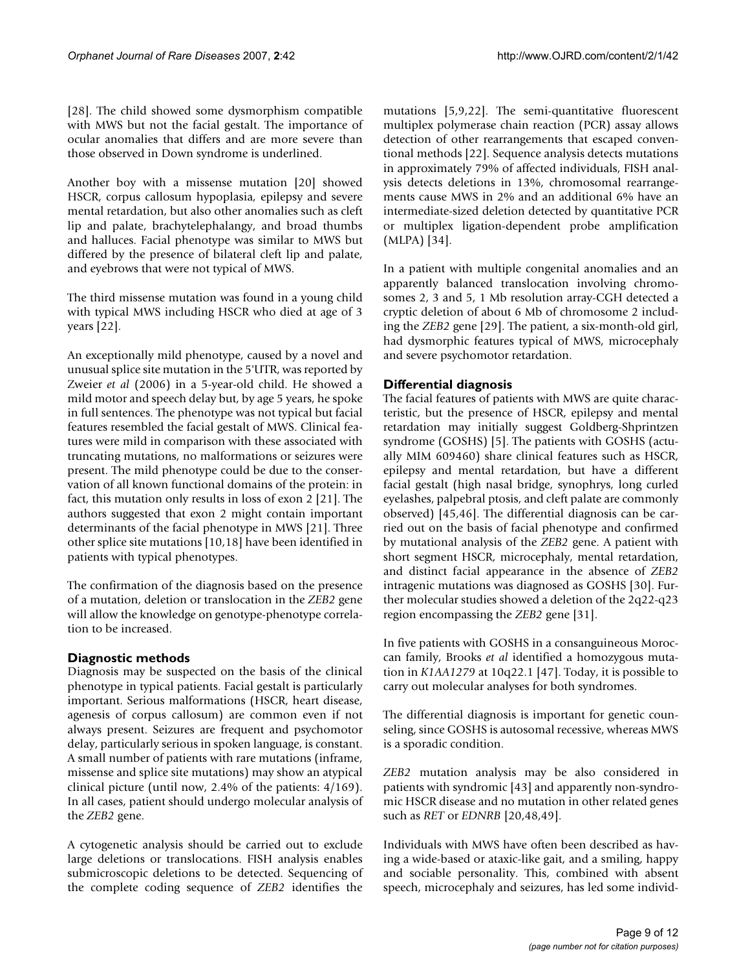[28]. The child showed some dysmorphism compatible with MWS but not the facial gestalt. The importance of ocular anomalies that differs and are more severe than those observed in Down syndrome is underlined.

Another boy with a missense mutation [20] showed HSCR, corpus callosum hypoplasia, epilepsy and severe mental retardation, but also other anomalies such as cleft lip and palate, brachytelephalangy, and broad thumbs and halluces. Facial phenotype was similar to MWS but differed by the presence of bilateral cleft lip and palate, and eyebrows that were not typical of MWS.

The third missense mutation was found in a young child with typical MWS including HSCR who died at age of 3 years [22].

An exceptionally mild phenotype, caused by a novel and unusual splice site mutation in the 5'UTR, was reported by Zweier *et al* (2006) in a 5-year-old child. He showed a mild motor and speech delay but, by age 5 years, he spoke in full sentences. The phenotype was not typical but facial features resembled the facial gestalt of MWS. Clinical features were mild in comparison with these associated with truncating mutations, no malformations or seizures were present. The mild phenotype could be due to the conservation of all known functional domains of the protein: in fact, this mutation only results in loss of exon 2 [21]. The authors suggested that exon 2 might contain important determinants of the facial phenotype in MWS [21]. Three other splice site mutations [10,18] have been identified in patients with typical phenotypes.

The confirmation of the diagnosis based on the presence of a mutation, deletion or translocation in the *ZEB2* gene will allow the knowledge on genotype-phenotype correlation to be increased.

# **Diagnostic methods**

Diagnosis may be suspected on the basis of the clinical phenotype in typical patients. Facial gestalt is particularly important. Serious malformations (HSCR, heart disease, agenesis of corpus callosum) are common even if not always present. Seizures are frequent and psychomotor delay, particularly serious in spoken language, is constant. A small number of patients with rare mutations (inframe, missense and splice site mutations) may show an atypical clinical picture (until now, 2.4% of the patients: 4/169). In all cases, patient should undergo molecular analysis of the *ZEB2* gene.

A cytogenetic analysis should be carried out to exclude large deletions or translocations. FISH analysis enables submicroscopic deletions to be detected. Sequencing of the complete coding sequence of *ZEB2* identifies the mutations [5,9,22]. The semi-quantitative fluorescent multiplex polymerase chain reaction (PCR) assay allows detection of other rearrangements that escaped conventional methods [22]. Sequence analysis detects mutations in approximately 79% of affected individuals, FISH analysis detects deletions in 13%, chromosomal rearrangements cause MWS in 2% and an additional 6% have an intermediate-sized deletion detected by quantitative PCR or multiplex ligation-dependent probe amplification (MLPA) [34].

In a patient with multiple congenital anomalies and an apparently balanced translocation involving chromosomes 2, 3 and 5, 1 Mb resolution array-CGH detected a cryptic deletion of about 6 Mb of chromosome 2 including the *ZEB2* gene [29]. The patient, a six-month-old girl, had dysmorphic features typical of MWS, microcephaly and severe psychomotor retardation.

# **Differential diagnosis**

The facial features of patients with MWS are quite characteristic, but the presence of HSCR, epilepsy and mental retardation may initially suggest Goldberg-Shprintzen syndrome (GOSHS) [5]. The patients with GOSHS (actually MIM 609460) share clinical features such as HSCR, epilepsy and mental retardation, but have a different facial gestalt (high nasal bridge, synophrys, long curled eyelashes, palpebral ptosis, and cleft palate are commonly observed) [45,46]. The differential diagnosis can be carried out on the basis of facial phenotype and confirmed by mutational analysis of the *ZEB2* gene. A patient with short segment HSCR, microcephaly, mental retardation, and distinct facial appearance in the absence of *ZEB2* intragenic mutations was diagnosed as GOSHS [30]. Further molecular studies showed a deletion of the 2q22-q23 region encompassing the *ZEB2* gene [31].

In five patients with GOSHS in a consanguineous Moroccan family, Brooks *et al* identified a homozygous mutation in *K1AA1279* at 10q22.1 [47]. Today, it is possible to carry out molecular analyses for both syndromes.

The differential diagnosis is important for genetic counseling, since GOSHS is autosomal recessive, whereas MWS is a sporadic condition.

*ZEB2* mutation analysis may be also considered in patients with syndromic [43] and apparently non-syndromic HSCR disease and no mutation in other related genes such as *RET* or *EDNRB* [20,48,49].

Individuals with MWS have often been described as having a wide-based or ataxic-like gait, and a smiling, happy and sociable personality. This, combined with absent speech, microcephaly and seizures, has led some individ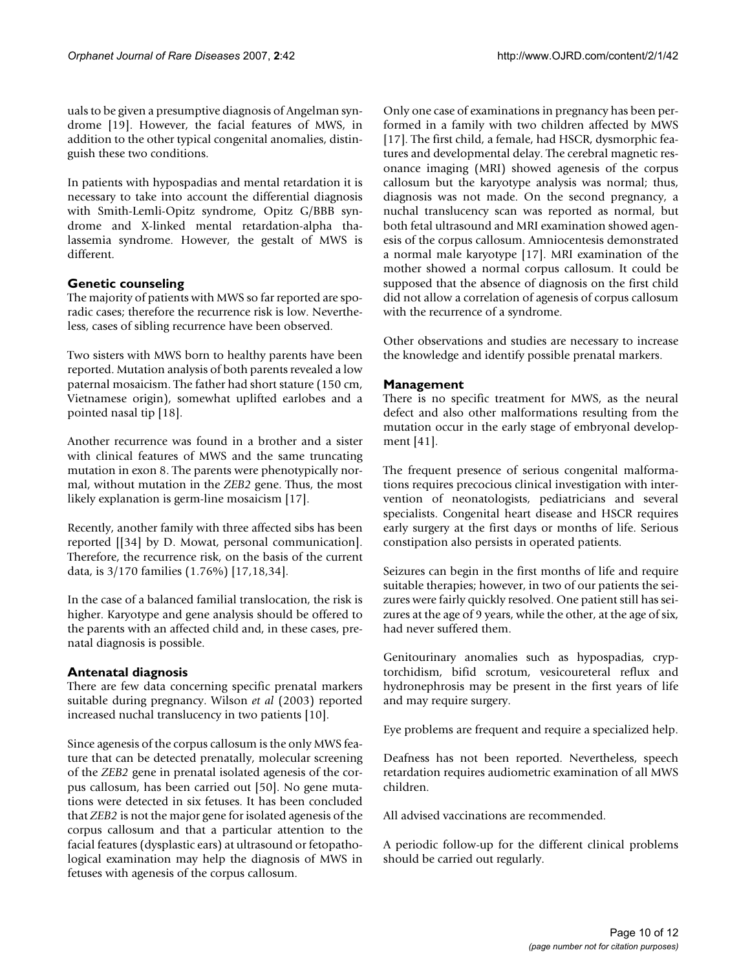uals to be given a presumptive diagnosis of Angelman syndrome [19]. However, the facial features of MWS, in addition to the other typical congenital anomalies, distinguish these two conditions.

In patients with hypospadias and mental retardation it is necessary to take into account the differential diagnosis with Smith-Lemli-Opitz syndrome, Opitz G/BBB syndrome and X-linked mental retardation-alpha thalassemia syndrome. However, the gestalt of MWS is different.

# **Genetic counseling**

The majority of patients with MWS so far reported are sporadic cases; therefore the recurrence risk is low. Nevertheless, cases of sibling recurrence have been observed.

Two sisters with MWS born to healthy parents have been reported. Mutation analysis of both parents revealed a low paternal mosaicism. The father had short stature (150 cm, Vietnamese origin), somewhat uplifted earlobes and a pointed nasal tip [18].

Another recurrence was found in a brother and a sister with clinical features of MWS and the same truncating mutation in exon 8. The parents were phenotypically normal, without mutation in the *ZEB2* gene. Thus, the most likely explanation is germ-line mosaicism [17].

Recently, another family with three affected sibs has been reported [[34] by D. Mowat, personal communication]. Therefore, the recurrence risk, on the basis of the current data, is 3/170 families (1.76%) [17,18,34].

In the case of a balanced familial translocation, the risk is higher. Karyotype and gene analysis should be offered to the parents with an affected child and, in these cases, prenatal diagnosis is possible.

#### **Antenatal diagnosis**

There are few data concerning specific prenatal markers suitable during pregnancy. Wilson *et al* (2003) reported increased nuchal translucency in two patients [10].

Since agenesis of the corpus callosum is the only MWS feature that can be detected prenatally, molecular screening of the *ZEB2* gene in prenatal isolated agenesis of the corpus callosum, has been carried out [50]. No gene mutations were detected in six fetuses. It has been concluded that *ZEB2* is not the major gene for isolated agenesis of the corpus callosum and that a particular attention to the facial features (dysplastic ears) at ultrasound or fetopathological examination may help the diagnosis of MWS in fetuses with agenesis of the corpus callosum.

Only one case of examinations in pregnancy has been performed in a family with two children affected by MWS [17]. The first child, a female, had HSCR, dysmorphic features and developmental delay. The cerebral magnetic resonance imaging (MRI) showed agenesis of the corpus callosum but the karyotype analysis was normal; thus, diagnosis was not made. On the second pregnancy, a nuchal translucency scan was reported as normal, but both fetal ultrasound and MRI examination showed agenesis of the corpus callosum. Amniocentesis demonstrated a normal male karyotype [17]. MRI examination of the mother showed a normal corpus callosum. It could be supposed that the absence of diagnosis on the first child did not allow a correlation of agenesis of corpus callosum with the recurrence of a syndrome.

Other observations and studies are necessary to increase the knowledge and identify possible prenatal markers.

#### **Management**

There is no specific treatment for MWS, as the neural defect and also other malformations resulting from the mutation occur in the early stage of embryonal development [41].

The frequent presence of serious congenital malformations requires precocious clinical investigation with intervention of neonatologists, pediatricians and several specialists. Congenital heart disease and HSCR requires early surgery at the first days or months of life. Serious constipation also persists in operated patients.

Seizures can begin in the first months of life and require suitable therapies; however, in two of our patients the seizures were fairly quickly resolved. One patient still has seizures at the age of 9 years, while the other, at the age of six, had never suffered them.

Genitourinary anomalies such as hypospadias, cryptorchidism, bifid scrotum, vesicoureteral reflux and hydronephrosis may be present in the first years of life and may require surgery.

Eye problems are frequent and require a specialized help.

Deafness has not been reported. Nevertheless, speech retardation requires audiometric examination of all MWS children.

All advised vaccinations are recommended.

A periodic follow-up for the different clinical problems should be carried out regularly.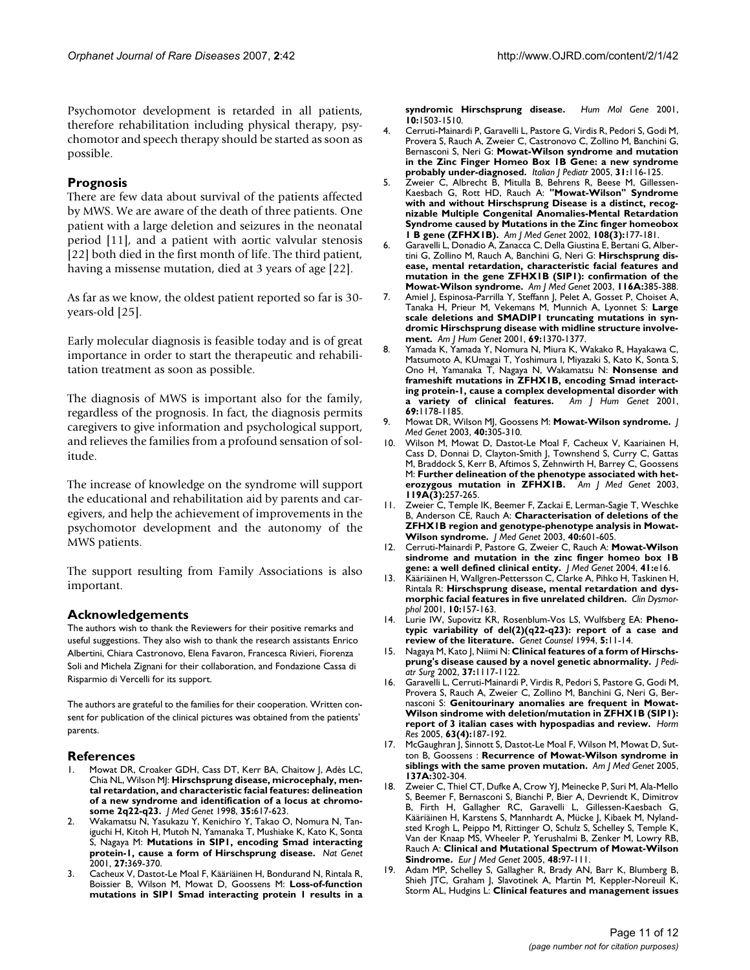Psychomotor development is retarded in all patients, therefore rehabilitation including physical therapy, psychomotor and speech therapy should be started as soon as possible.

#### **Prognosis**

There are few data about survival of the patients affected by MWS. We are aware of the death of three patients. One patient with a large deletion and seizures in the neonatal period [11], and a patient with aortic valvular stenosis [22] both died in the first month of life. The third patient, having a missense mutation, died at 3 years of age [22].

As far as we know, the oldest patient reported so far is 30 years-old [25].

Early molecular diagnosis is feasible today and is of great importance in order to start the therapeutic and rehabilitation treatment as soon as possible.

The diagnosis of MWS is important also for the family, regardless of the prognosis. In fact, the diagnosis permits caregivers to give information and psychological support, and relieves the families from a profound sensation of solitude.

The increase of knowledge on the syndrome will support the educational and rehabilitation aid by parents and caregivers, and help the achievement of improvements in the psychomotor development and the autonomy of the MWS patients.

The support resulting from Family Associations is also important.

#### **Acknowledgements**

The authors wish to thank the Reviewers for their positive remarks and useful suggestions. They also wish to thank the research assistants Enrico Albertini, Chiara Castronovo, Elena Favaron, Francesca Rivieri, Fiorenza Soli and Michela Zignani for their collaboration, and Fondazione Cassa di Risparmio di Vercelli for its support.

The authors are grateful to the families for their cooperation. Written consent for publication of the clinical pictures was obtained from the patients' parents.

#### **References**

- 1. Mowat DR, Croaker GDH, Cass DT, Kerr BA, Chaitow J, Adès LC, Chia NL, Wilson MJ: **[Hirschsprung disease, microcephaly, men](http://www.ncbi.nlm.nih.gov/entrez/query.fcgi?cmd=Retrieve&db=PubMed&dopt=Abstract&list_uids=9719364)tal retardation, and characteristic facial features: delineation [of a new syndrome and identification of a locus at chromo](http://www.ncbi.nlm.nih.gov/entrez/query.fcgi?cmd=Retrieve&db=PubMed&dopt=Abstract&list_uids=9719364)[some 2q22-q23.](http://www.ncbi.nlm.nih.gov/entrez/query.fcgi?cmd=Retrieve&db=PubMed&dopt=Abstract&list_uids=9719364)** *J Med Genet* 1998, **35:**617-623.
- 2. Wakamatsu N, Yasukazu Y, Kenichiro Y, Takao O, Nomura N, Taniguchi H, Kitoh H, Mutoh N, Yamanaka T, Mushiake K, Kato K, Sonta S, Nagaya M: **[Mutations in SIP1, encoding Smad interacting](http://www.ncbi.nlm.nih.gov/entrez/query.fcgi?cmd=Retrieve&db=PubMed&dopt=Abstract&list_uids=11279515) [protein-1, cause a form of Hirschsprung disease.](http://www.ncbi.nlm.nih.gov/entrez/query.fcgi?cmd=Retrieve&db=PubMed&dopt=Abstract&list_uids=11279515)** *Nat Genet* 2001, **27:**369-370.
- 3. Cacheux V, Dastot-Le Moal F, Kääriäinen H, Bondurand N, Rintala R, Boissier B, Wilson M, Mowat D, Goossens M: **Loss-of-function mutations in SIP1 Smad interacting protein 1 results in a**

**syndromic Hirschsprung disease.** *Hum Mol Gene* 2001, **10:**1503-1510.

- 4. Cerruti-Mainardi P, Garavelli L, Pastore G, Virdis R, Pedori S, Godi M, Provera S, Rauch A, Zweier C, Castronovo C, Zollino M, Banchini G, Bernasconi S, Neri G: **Mowat-Wilson syndrome and mutation in the Zinc Finger Homeo Box 1B Gene: a new syndrome probably under-diagnosed.** *Italian J Pediatr* 2005, **31:**116-125.
- 5. Zweier C, Albrecht B, Mitulla B, Behrens R, Beese M, Gillessen-Kaesbach G, Rott HD, Rauch A: **["Mowat-Wilson" Syndrome](http://www.ncbi.nlm.nih.gov/entrez/query.fcgi?cmd=Retrieve&db=PubMed&dopt=Abstract&list_uids=11891681) with and without Hirschsprung Disease is a distinct, recognizable Multiple Congenital Anomalies-Mental Retardation [Syndrome caused by Mutations in the Zinc finger homeobox](http://www.ncbi.nlm.nih.gov/entrez/query.fcgi?cmd=Retrieve&db=PubMed&dopt=Abstract&list_uids=11891681) [1 B gene \(ZFHX1B\).](http://www.ncbi.nlm.nih.gov/entrez/query.fcgi?cmd=Retrieve&db=PubMed&dopt=Abstract&list_uids=11891681)** *Am J Med Genet* 2002, **108(3):**177-181.
- 6. Garavelli L, Donadio A, Zanacca C, Della Giustina E, Bertani G, Albertini G, Zollino M, Rauch A, Banchini G, Neri G: **Hirschsprung disease, mental retardation, characteristic facial features and mutation in the gene ZFHX1B (SIP1): confirmation of the Mowat-Wilson syndrome.** *Am J Med Genet* 2003, **116A:**385-388.
- 7. Amiel J, Espinosa-Parrilla Y, Steffann J, Pelet A, Gosset P, Choiset A, Tanaka H, Prieur M, Vekemans M, Munnich A, Lyonnet S: **[Large](http://www.ncbi.nlm.nih.gov/entrez/query.fcgi?cmd=Retrieve&db=PubMed&dopt=Abstract&list_uids=11595972) scale deletions and SMADIP1 truncating mutations in syn[dromic Hirschsprung disease with midline structure involve](http://www.ncbi.nlm.nih.gov/entrez/query.fcgi?cmd=Retrieve&db=PubMed&dopt=Abstract&list_uids=11595972)[ment.](http://www.ncbi.nlm.nih.gov/entrez/query.fcgi?cmd=Retrieve&db=PubMed&dopt=Abstract&list_uids=11595972)** *Am J Hum Genet* 2001, **69:**1370-1377.
- 8. Yamada K, Yamada Y, Nomura N, Miura K, Wakako R, Hayakawa C, Matsumoto A, KUmagai T, Yoshimura I, Miyazaki S, Kato K, Sonta S, Ono H, Yamanaka T, Nagaya N, Wakamatsu N: **[Nonsense and](http://www.ncbi.nlm.nih.gov/entrez/query.fcgi?cmd=Retrieve&db=PubMed&dopt=Abstract&list_uids=11592033) frameshift mutations in ZFHX1B, encoding Smad interact[ing protein-1, cause a complex developmental disorder with](http://www.ncbi.nlm.nih.gov/entrez/query.fcgi?cmd=Retrieve&db=PubMed&dopt=Abstract&list_uids=11592033) a variety of clinical features.** Am J Hum Genet 2001, [a variety of clinical features.](http://www.ncbi.nlm.nih.gov/entrez/query.fcgi?cmd=Retrieve&db=PubMed&dopt=Abstract&list_uids=11592033) **69:**1178-1185.
- 9. Mowat DR, Wilson MJ, Goossens M: **[Mowat-Wilson syndrome.](http://www.ncbi.nlm.nih.gov/entrez/query.fcgi?cmd=Retrieve&db=PubMed&dopt=Abstract&list_uids=12746390)** *J Med Genet* 2003, **40:**305-310.
- 10. Wilson M, Mowat D, Dastot-Le Moal F, Cacheux V, Kaariainen H, Cass D, Donnai D, Clayton-Smith J, Townshend S, Curry C, Gattas M, Braddock S, Kerr B, Aftimos S, Zehnwirth H, Barrey C, Goossens M: **Further delineation of the phenotype associated with heterozygous mutation in ZFHX1B.** *Am J Med Genet* 2003, **119A(3):**257-265.
- 11. Zweier C, Temple IK, Beemer F, Zackai E, Lerman-Sagie T, Weschke B, Anderson CE, Rauch A: **[Characterisation of deletions of the](http://www.ncbi.nlm.nih.gov/entrez/query.fcgi?cmd=Retrieve&db=PubMed&dopt=Abstract&list_uids=12920073) [ZFHX1B region and genotype-phenotype analysis in Mowat-](http://www.ncbi.nlm.nih.gov/entrez/query.fcgi?cmd=Retrieve&db=PubMed&dopt=Abstract&list_uids=12920073)[Wilson syndrome.](http://www.ncbi.nlm.nih.gov/entrez/query.fcgi?cmd=Retrieve&db=PubMed&dopt=Abstract&list_uids=12920073)** *J Med Genet* 2003, **40:**601-605.
- 12. Cerruti-Mainardi P, Pastore G, Zweier C, Rauch A: **[Mowat-Wilson](http://www.ncbi.nlm.nih.gov/entrez/query.fcgi?cmd=Retrieve&db=PubMed&dopt=Abstract&list_uids=14757866) [sindrome and mutation in the zinc finger homeo box 1B](http://www.ncbi.nlm.nih.gov/entrez/query.fcgi?cmd=Retrieve&db=PubMed&dopt=Abstract&list_uids=14757866) [gene: a well defined clinical entity.](http://www.ncbi.nlm.nih.gov/entrez/query.fcgi?cmd=Retrieve&db=PubMed&dopt=Abstract&list_uids=14757866)** *J Med Genet* 2004, **41:**e16.
- 13. Kääriäinen H, Wallgren-Pettersson C, Clarke A, Pihko H, Taskinen H, Rintala R: **[Hirschsprung disease, mental retardation and dys](http://www.ncbi.nlm.nih.gov/entrez/query.fcgi?cmd=Retrieve&db=PubMed&dopt=Abstract&list_uids=11446406)[morphic facial features in five unrelated children.](http://www.ncbi.nlm.nih.gov/entrez/query.fcgi?cmd=Retrieve&db=PubMed&dopt=Abstract&list_uids=11446406)** *Clin Dysmorphol* 2001, **10:**157-163.
- 14. Lurie IW, Supovitz KR, Rosenblum-Vos LS, Wulfsberg EA: **Phenotypic variability of del(2)(q22-q23): report of a case and review of the literature.** *Genet Counsel* 1994, **5:**11-14.
- 15. Nagaya M, Kato J, Niimi N: **[Clinical features of a form of Hirschs](http://www.ncbi.nlm.nih.gov/entrez/query.fcgi?cmd=Retrieve&db=PubMed&dopt=Abstract&list_uids=12149685)[prung's disease caused by a novel genetic abnormality.](http://www.ncbi.nlm.nih.gov/entrez/query.fcgi?cmd=Retrieve&db=PubMed&dopt=Abstract&list_uids=12149685)** *J Pediatr Surg* 2002, **37:**1117-1122.
- 16. Garavelli L, Cerruti-Mainardi P, Virdis R, Pedori S, Pastore G, Godi M, Provera S, Rauch A, Zweier C, Zollino M, Banchini G, Neri G, Bernasconi S: **[Genitourinary anomalies are frequent in Mowat-](http://www.ncbi.nlm.nih.gov/entrez/query.fcgi?cmd=Retrieve&db=PubMed&dopt=Abstract&list_uids=15908750)[Wilson sindrome with deletion/mutation in ZFHX1B \(SIP1\):](http://www.ncbi.nlm.nih.gov/entrez/query.fcgi?cmd=Retrieve&db=PubMed&dopt=Abstract&list_uids=15908750) [report of 3 italian cases with hypospadias and review.](http://www.ncbi.nlm.nih.gov/entrez/query.fcgi?cmd=Retrieve&db=PubMed&dopt=Abstract&list_uids=15908750)** *Horm Res* 2005, **63(4):**187-192.
- 17. McGaughran J, Sinnott S, Dastot-Le Moal F, Wilson M, Mowat D, Sutton B, Goossens : **Recurrence of Mowat-Wilson syndrome in siblings with the same proven mutation.** *Am J Med Genet* 2005, **137A:**302-304.
- 18. Zweier C, Thiel CT, Dufke A, Crow YJ, Meinecke P, Suri M, Ala-Mello S, Beemer F, Bernasconi S, Bianchi P, Bier A, Devriendt K, Dimitrov B, Firth H, Gallagher RC, Garavelli L, Gillessen-Kaesbach G, Kääriäinen H, Karstens S, Mannhardt A, Mücke J, Kibaek M, Nylandsted Krogh L, Peippo M, Rittinger O, Schulz S, Schelley S, Temple K, Van der Knaap MS, Wheeler P, Yerushalmi B, Zenker M, Lowry RB, Rauch A: **[Clinical and Mutational Spectrum of Mowat-Wilson](http://www.ncbi.nlm.nih.gov/entrez/query.fcgi?cmd=Retrieve&db=PubMed&dopt=Abstract&list_uids=16053902) [Sindrome.](http://www.ncbi.nlm.nih.gov/entrez/query.fcgi?cmd=Retrieve&db=PubMed&dopt=Abstract&list_uids=16053902)** *Eur J Med Genet* 2005, **48:**97-111.
- Adam MP, Schelley S, Gallagher R, Brady AN, Barr K, Blumberg B, Shieh JTC, Graham J, Slavotinek A, Martin M, Keppler-Noreuil K, Storm AL, Hudgins L: **Clinical features and management issues**